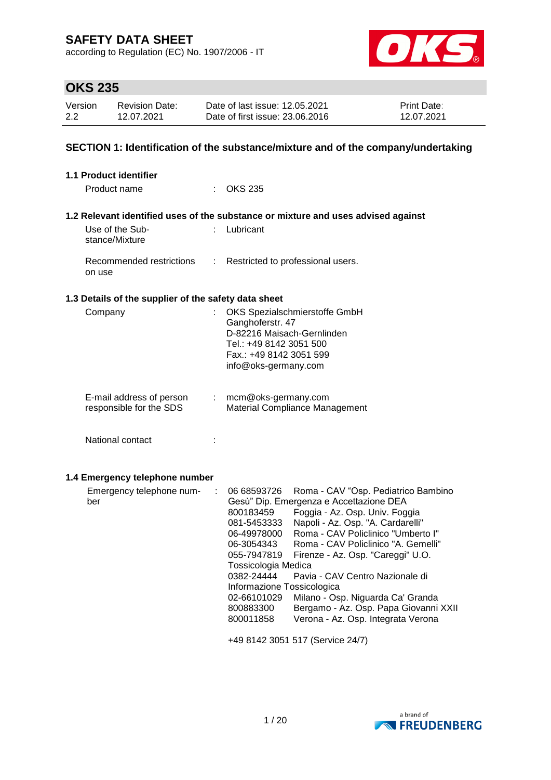according to Regulation (EC) No. 1907/2006 - IT



# **OKS 235**

| Version | Revision Date: | Date of last issue: 12.05.2021  | <b>Print Date:</b> |
|---------|----------------|---------------------------------|--------------------|
| 2.2     | 12.07.2021     | Date of first issue: 23.06.2016 | 12.07.2021         |

### **SECTION 1: Identification of the substance/mixture and of the company/undertaking**

| <b>1.1 Product identifier</b>                        |    |                                                                                                                                                                                                                                                                                                                                                                                                                                                                                                                                                                                                                                                                       |
|------------------------------------------------------|----|-----------------------------------------------------------------------------------------------------------------------------------------------------------------------------------------------------------------------------------------------------------------------------------------------------------------------------------------------------------------------------------------------------------------------------------------------------------------------------------------------------------------------------------------------------------------------------------------------------------------------------------------------------------------------|
| Product name                                         |    | $\therefore$ OKS 235                                                                                                                                                                                                                                                                                                                                                                                                                                                                                                                                                                                                                                                  |
|                                                      |    | 1.2 Relevant identified uses of the substance or mixture and uses advised against                                                                                                                                                                                                                                                                                                                                                                                                                                                                                                                                                                                     |
| Use of the Sub-<br>stance/Mixture                    | t. | Lubricant                                                                                                                                                                                                                                                                                                                                                                                                                                                                                                                                                                                                                                                             |
| Recommended restrictions<br>on use                   | ÷. | Restricted to professional users.                                                                                                                                                                                                                                                                                                                                                                                                                                                                                                                                                                                                                                     |
| 1.3 Details of the supplier of the safety data sheet |    |                                                                                                                                                                                                                                                                                                                                                                                                                                                                                                                                                                                                                                                                       |
| Company                                              | t  | OKS Spezialschmierstoffe GmbH<br>Ganghoferstr. 47<br>D-82216 Maisach-Gernlinden<br>Tel.: +49 8142 3051 500<br>Fax.: +49 8142 3051 599<br>info@oks-germany.com                                                                                                                                                                                                                                                                                                                                                                                                                                                                                                         |
| E-mail address of person<br>responsible for the SDS  | t. | mcm@oks-germany.com<br>Material Compliance Management                                                                                                                                                                                                                                                                                                                                                                                                                                                                                                                                                                                                                 |
| National contact                                     |    |                                                                                                                                                                                                                                                                                                                                                                                                                                                                                                                                                                                                                                                                       |
| 1.4 Emergency telephone number                       |    |                                                                                                                                                                                                                                                                                                                                                                                                                                                                                                                                                                                                                                                                       |
| Emergency telephone num-<br>ber                      | ÷  | 06 68593726<br>Roma - CAV "Osp. Pediatrico Bambino<br>Gesù" Dip. Emergenza e Accettazione DEA<br>Foggia - Az. Osp. Univ. Foggia<br>800183459<br>Napoli - Az. Osp. "A. Cardarelli"<br>081-5453333<br>Roma - CAV Policlinico "Umberto I"<br>06-49978000<br>Roma - CAV Policlinico "A. Gemelli"<br>06-3054343<br>Firenze - Az. Osp. "Careggi" U.O.<br>055-7947819<br>Tossicologia Medica<br>0382-24444<br>Pavia - CAV Centro Nazionale di<br>Informazione Tossicologica<br>02-66101029<br>Milano - Osp. Niguarda Ca' Granda<br>Bergamo - Az. Osp. Papa Giovanni XXII<br>800883300<br>Verona - Az. Osp. Integrata Verona<br>800011858<br>+49 8142 3051 517 (Service 24/7) |

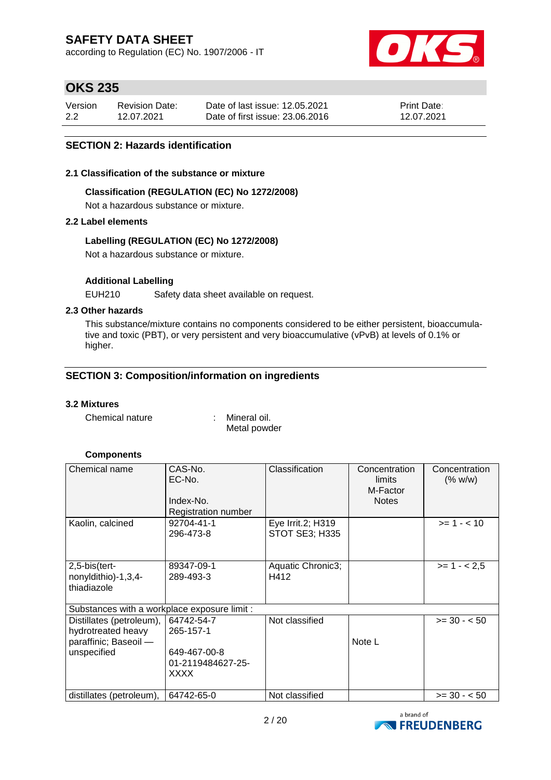according to Regulation (EC) No. 1907/2006 - IT



## **OKS 235**

| Version | <b>Revision Date:</b> | Date of last issue: 12.05.2021  | <b>Print Date:</b> |
|---------|-----------------------|---------------------------------|--------------------|
| 2.2     | 12.07.2021            | Date of first issue: 23,06,2016 | 12.07.2021         |

### **SECTION 2: Hazards identification**

#### **2.1 Classification of the substance or mixture**

### **Classification (REGULATION (EC) No 1272/2008)**

Not a hazardous substance or mixture.

### **2.2 Label elements**

### **Labelling (REGULATION (EC) No 1272/2008)**

Not a hazardous substance or mixture.

### **Additional Labelling**

EUH210 Safety data sheet available on request.

### **2.3 Other hazards**

This substance/mixture contains no components considered to be either persistent, bioaccumulative and toxic (PBT), or very persistent and very bioaccumulative (vPvB) at levels of 0.1% or higher.

### **SECTION 3: Composition/information on ingredients**

### **3.2 Mixtures**

Chemical nature : Mineral oil. Metal powder

### **Components**

| Chemical name                                                                          | CAS-No.<br>EC-No.<br>Index-No.<br>Registration number                | Classification                             | Concentration<br>limits<br>M-Factor<br><b>Notes</b> | Concentration<br>(% w/w) |
|----------------------------------------------------------------------------------------|----------------------------------------------------------------------|--------------------------------------------|-----------------------------------------------------|--------------------------|
| Kaolin, calcined                                                                       | 92704-41-1<br>296-473-8                                              | Eye Irrit.2; H319<br><b>STOT SE3; H335</b> |                                                     | $>= 1 - < 10$            |
| $2,5$ -bis $(\text{tert}$ -<br>nonyldithio)-1,3,4-<br>thiadiazole                      | 89347-09-1<br>289-493-3                                              | Aquatic Chronic3;<br>H412                  |                                                     | $>= 1 - 2.5$             |
| Substances with a workplace exposure limit :                                           |                                                                      |                                            |                                                     |                          |
| Distillates (petroleum),<br>hydrotreated heavy<br>paraffinic; Baseoil -<br>unspecified | 64742-54-7<br>265-157-1<br>649-467-00-8<br>01-2119484627-25-<br>XXXX | Not classified                             | Note L                                              | $>= 30 - 50$             |
| distillates (petroleum),                                                               | 64742-65-0                                                           | Not classified                             |                                                     | $>= 30 - 50$             |

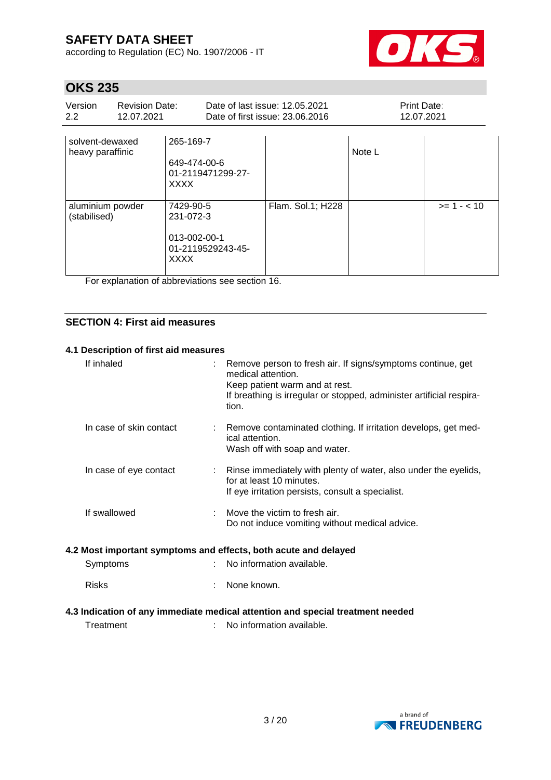according to Regulation (EC) No. 1907/2006 - IT



# **OKS 235**

| Version<br>$2.2^{\circ}$            | <b>Revision Date:</b><br>12.07.2021 |                                                                            | Date of last issue: 12.05.2021<br>Date of first issue: 23.06.2016 | Print Date:<br>12.07.2021 |               |
|-------------------------------------|-------------------------------------|----------------------------------------------------------------------------|-------------------------------------------------------------------|---------------------------|---------------|
| solvent-dewaxed<br>heavy paraffinic |                                     | 265-169-7<br>649-474-00-6<br>01-2119471299-27-<br><b>XXXX</b>              |                                                                   | Note L                    |               |
| aluminium powder<br>(stabilised)    |                                     | 7429-90-5<br>231-072-3<br>013-002-00-1<br>01-2119529243-45-<br><b>XXXX</b> | Flam. Sol.1; H228                                                 |                           | $>= 1 - < 10$ |

For explanation of abbreviations see section 16.

### **SECTION 4: First aid measures**

### **4.1 Description of first aid measures**

| If inhaled              |   | Remove person to fresh air. If signs/symptoms continue, get<br>medical attention.<br>Keep patient warm and at rest.<br>If breathing is irregular or stopped, administer artificial respira-<br>tion. |
|-------------------------|---|------------------------------------------------------------------------------------------------------------------------------------------------------------------------------------------------------|
| In case of skin contact |   | Remove contaminated clothing. If irritation develops, get med-<br>ical attention.<br>Wash off with soap and water.                                                                                   |
| In case of eye contact  |   | Rinse immediately with plenty of water, also under the eyelids,<br>for at least 10 minutes.<br>If eye irritation persists, consult a specialist.                                                     |
| If swallowed            |   | Move the victim to fresh air.<br>Do not induce vomiting without medical advice.                                                                                                                      |
|                         |   | 4.2 Most important symptoms and effects, both acute and delayed                                                                                                                                      |
| Symptoms                | ٠ | No information available.                                                                                                                                                                            |
| <b>Risks</b>            |   | None known.                                                                                                                                                                                          |
|                         |   |                                                                                                                                                                                                      |

### **4.3 Indication of any immediate medical attention and special treatment needed**

: No information available.

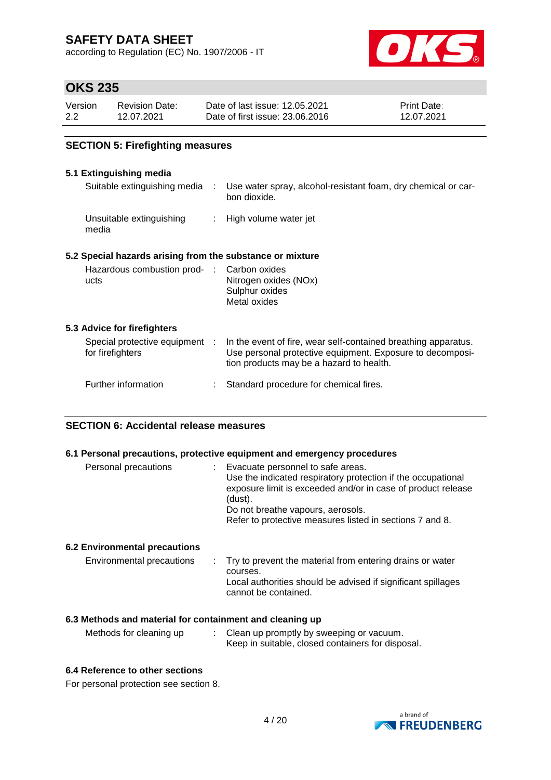according to Regulation (EC) No. 1907/2006 - IT



### **OKS 235**

| Version | <b>Revision Date:</b> | Date of last issue: 12.05.2021  | <b>Print Date:</b> |
|---------|-----------------------|---------------------------------|--------------------|
| 2.2     | 12.07.2021            | Date of first issue: 23.06.2016 | 12.07.2021         |

### **SECTION 5: Firefighting measures**

### **5.1 Extinguishing media**

| J. LAUNYUISIINY MUUN                                      |                            |                                                                                                                                                                         |
|-----------------------------------------------------------|----------------------------|-------------------------------------------------------------------------------------------------------------------------------------------------------------------------|
| Suitable extinguishing media :                            |                            | Use water spray, alcohol-resistant foam, dry chemical or car-<br>bon dioxide.                                                                                           |
| Unsuitable extinguishing<br>media                         | $\mathcal{L}^{\text{max}}$ | High volume water jet                                                                                                                                                   |
| 5.2 Special hazards arising from the substance or mixture |                            |                                                                                                                                                                         |
| Hazardous combustion prod- : Carbon oxides<br>ucts        |                            | Nitrogen oxides (NOx)<br>Sulphur oxides<br>Metal oxides                                                                                                                 |
| 5.3 Advice for firefighters                               |                            |                                                                                                                                                                         |
| Special protective equipment :<br>for firefighters        |                            | In the event of fire, wear self-contained breathing apparatus.<br>Use personal protective equipment. Exposure to decomposi-<br>tion products may be a hazard to health. |
| Further information                                       |                            | Standard procedure for chemical fires.                                                                                                                                  |

### **SECTION 6: Accidental release measures**

### **6.1 Personal precautions, protective equipment and emergency procedures**

| Personal precautions | Evacuate personnel to safe areas.<br>Use the indicated respiratory protection if the occupational<br>exposure limit is exceeded and/or in case of product release<br>(dust).<br>Do not breathe vapours, aerosols.<br>Refer to protective measures listed in sections 7 and 8. |
|----------------------|-------------------------------------------------------------------------------------------------------------------------------------------------------------------------------------------------------------------------------------------------------------------------------|
|                      |                                                                                                                                                                                                                                                                               |

### **6.2 Environmental precautions**

| Environmental precautions | . Try to prevent the material from entering drains or water<br>courses.<br>Local authorities should be advised if significant spillages<br>cannot be contained. |
|---------------------------|-----------------------------------------------------------------------------------------------------------------------------------------------------------------|
|---------------------------|-----------------------------------------------------------------------------------------------------------------------------------------------------------------|

#### **6.3 Methods and material for containment and cleaning up**

| Methods for cleaning up | Clean up promptly by sweeping or vacuum.          |
|-------------------------|---------------------------------------------------|
|                         | Keep in suitable, closed containers for disposal. |

#### **6.4 Reference to other sections**

For personal protection see section 8.

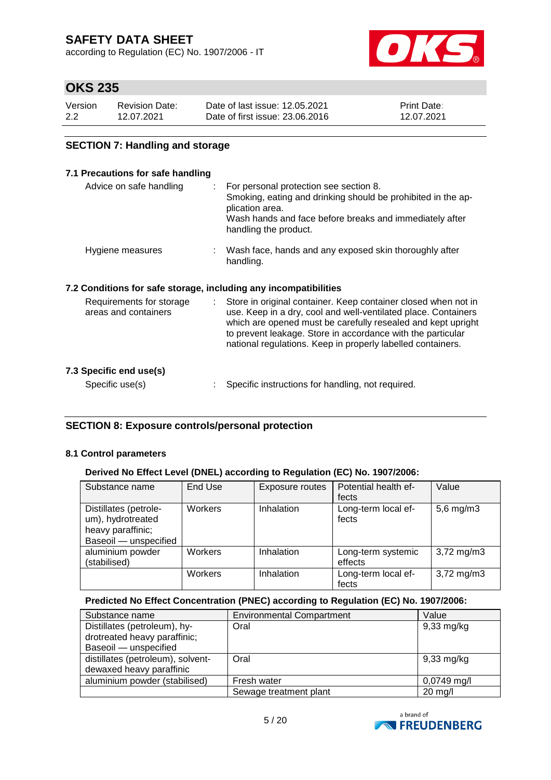according to Regulation (EC) No. 1907/2006 - IT



### **OKS 235**

| Version | <b>Revision Date:</b> | Date of last issue: 12.05.2021  | <b>Print Date:</b> |
|---------|-----------------------|---------------------------------|--------------------|
| 2.2     | 12.07.2021            | Date of first issue: 23,06,2016 | 12.07.2021         |

### **SECTION 7: Handling and storage**

### **7.1 Precautions for safe handling**

| Advice on safe handling                                          |    | : For personal protection see section 8.<br>Smoking, eating and drinking should be prohibited in the ap-<br>plication area.<br>Wash hands and face before breaks and immediately after<br>handling the product.                                                                                                                |
|------------------------------------------------------------------|----|--------------------------------------------------------------------------------------------------------------------------------------------------------------------------------------------------------------------------------------------------------------------------------------------------------------------------------|
| Hygiene measures                                                 |    | : Wash face, hands and any exposed skin thoroughly after<br>handling.                                                                                                                                                                                                                                                          |
| 7.2 Conditions for safe storage, including any incompatibilities |    |                                                                                                                                                                                                                                                                                                                                |
| Requirements for storage<br>areas and containers                 | t. | Store in original container. Keep container closed when not in<br>use. Keep in a dry, cool and well-ventilated place. Containers<br>which are opened must be carefully resealed and kept upright<br>to prevent leakage. Store in accordance with the particular<br>national regulations. Keep in properly labelled containers. |
| 7.3 Specific end use(s)                                          |    |                                                                                                                                                                                                                                                                                                                                |

Specific use(s) : Specific instructions for handling, not required.

### **SECTION 8: Exposure controls/personal protection**

### **8.1 Control parameters**

### **Derived No Effect Level (DNEL) according to Regulation (EC) No. 1907/2006:**

| Substance name                                                                           | End Use | Exposure routes | Potential health ef-<br>fects | Value                   |
|------------------------------------------------------------------------------------------|---------|-----------------|-------------------------------|-------------------------|
| Distillates (petrole-<br>um), hydrotreated<br>heavy paraffinic;<br>Baseoil - unspecified | Workers | Inhalation      | Long-term local ef-<br>fects  | $5,6$ mg/m $3$          |
| aluminium powder<br>(stabilised)                                                         | Workers | Inhalation      | Long-term systemic<br>effects | $3,72 \,\mathrm{mg/m3}$ |
|                                                                                          | Workers | Inhalation      | Long-term local ef-<br>fects  | $3,72 \, \text{mg/m}$ 3 |

### **Predicted No Effect Concentration (PNEC) according to Regulation (EC) No. 1907/2006:**

| Substance name                    | <b>Environmental Compartment</b> | Value                |
|-----------------------------------|----------------------------------|----------------------|
| Distillates (petroleum), hy-      | Oral                             | $9,33$ mg/kg         |
| drotreated heavy paraffinic;      |                                  |                      |
| Baseoil - unspecified             |                                  |                      |
| distillates (petroleum), solvent- | Oral                             | $9,33 \text{ mg/kg}$ |
| dewaxed heavy paraffinic          |                                  |                      |
| aluminium powder (stabilised)     | Fresh water                      | $0,0749$ mg/l        |
|                                   | Sewage treatment plant           | $20$ mg/l            |

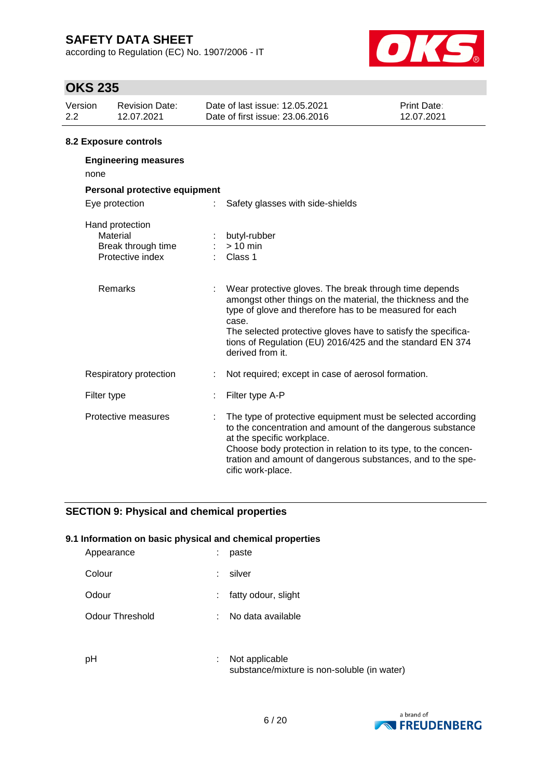according to Regulation (EC) No. 1907/2006 - IT



# **OKS 235**

| UNU LJJ        |                                                                       |                                                                                                                                                                                                                                                                                                                                             |                           |
|----------------|-----------------------------------------------------------------------|---------------------------------------------------------------------------------------------------------------------------------------------------------------------------------------------------------------------------------------------------------------------------------------------------------------------------------------------|---------------------------|
| Version<br>2.2 | <b>Revision Date:</b><br>12.07.2021                                   | Date of last issue: 12.05.2021<br>Date of first issue: 23.06.2016                                                                                                                                                                                                                                                                           | Print Date:<br>12.07.2021 |
|                | <b>8.2 Exposure controls</b>                                          |                                                                                                                                                                                                                                                                                                                                             |                           |
| none           | <b>Engineering measures</b>                                           |                                                                                                                                                                                                                                                                                                                                             |                           |
|                | Personal protective equipment                                         |                                                                                                                                                                                                                                                                                                                                             |                           |
|                | Eye protection                                                        | Safety glasses with side-shields                                                                                                                                                                                                                                                                                                            |                           |
|                | Hand protection<br>Material<br>Break through time<br>Protective index | butyl-rubber<br>$> 10$ min<br>Class 1                                                                                                                                                                                                                                                                                                       |                           |
|                | <b>Remarks</b>                                                        | Wear protective gloves. The break through time depends<br>amongst other things on the material, the thickness and the<br>type of glove and therefore has to be measured for each<br>case.<br>The selected protective gloves have to satisfy the specifica-<br>tions of Regulation (EU) 2016/425 and the standard EN 374<br>derived from it. |                           |
|                | Respiratory protection                                                | Not required; except in case of aerosol formation.                                                                                                                                                                                                                                                                                          |                           |
|                | Filter type                                                           | Filter type A-P                                                                                                                                                                                                                                                                                                                             |                           |
|                | Protective measures                                                   | The type of protective equipment must be selected according<br>to the concentration and amount of the dangerous substance<br>at the specific workplace.<br>Choose body protection in relation to its type, to the concen-<br>tration and amount of dangerous substances, and to the spe-<br>cific work-place.                               |                           |

### **SECTION 9: Physical and chemical properties**

### **9.1 Information on basic physical and chemical properties**

| Colour<br>silver<br>÷.<br>: fatty odour, slight<br>Odour<br>Odour Threshold<br>No data available<br>÷. | Appearance | ÷ | paste |
|--------------------------------------------------------------------------------------------------------|------------|---|-------|
|                                                                                                        |            |   |       |
|                                                                                                        |            |   |       |
|                                                                                                        |            |   |       |

pH : Not applicable substance/mixture is non-soluble (in water)

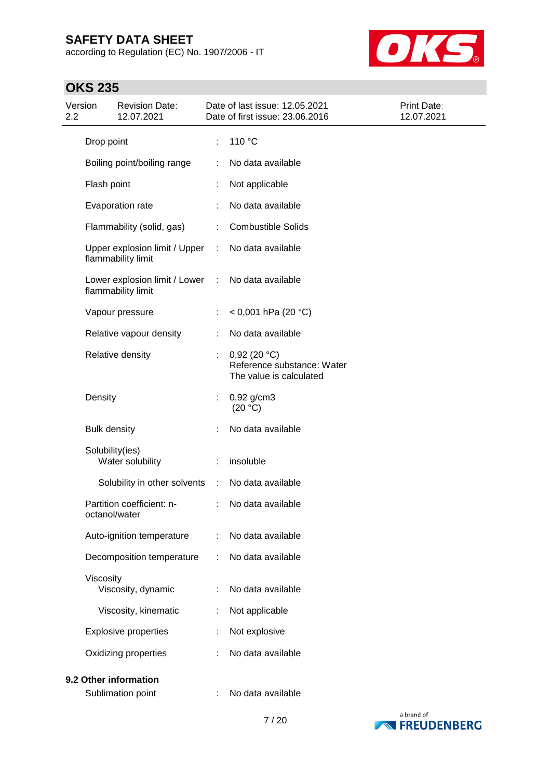according to Regulation (EC) No. 1907/2006 - IT



| Version<br>2.2 |                     | <b>Revision Date:</b><br>12.07.2021                 |   | Date of last issue: 12.05.2021<br>Date of first issue: 23.06.2016    | Print Date:<br>12.07.2021 |
|----------------|---------------------|-----------------------------------------------------|---|----------------------------------------------------------------------|---------------------------|
|                | Drop point          |                                                     | t | 110 °C                                                               |                           |
|                |                     | Boiling point/boiling range                         |   | No data available                                                    |                           |
|                | Flash point         |                                                     |   | Not applicable                                                       |                           |
|                |                     | Evaporation rate                                    |   | No data available                                                    |                           |
|                |                     | Flammability (solid, gas)                           | ÷ | <b>Combustible Solids</b>                                            |                           |
|                |                     | Upper explosion limit / Upper<br>flammability limit | ÷ | No data available                                                    |                           |
|                |                     | Lower explosion limit / Lower<br>flammability limit | ÷ | No data available                                                    |                           |
|                |                     | Vapour pressure                                     |   | < 0,001 hPa (20 °C)                                                  |                           |
|                |                     | Relative vapour density                             |   | No data available                                                    |                           |
|                |                     | Relative density                                    | ÷ | 0,92(20 °C)<br>Reference substance: Water<br>The value is calculated |                           |
|                | Density             |                                                     | ÷ | $0,92$ g/cm3<br>(20 °C)                                              |                           |
|                | <b>Bulk density</b> |                                                     |   | No data available                                                    |                           |
|                | Solubility(ies)     | Water solubility                                    |   | insoluble                                                            |                           |
|                |                     | Solubility in other solvents                        | ÷ | No data available                                                    |                           |
|                | octanol/water       | Partition coefficient: n-                           | ÷ | No data available                                                    |                           |
|                |                     | Auto-ignition temperature                           | ÷ | No data available                                                    |                           |
|                |                     | Decomposition temperature                           |   | No data available                                                    |                           |
|                | Viscosity           | Viscosity, dynamic                                  |   | No data available                                                    |                           |
|                |                     | Viscosity, kinematic                                | t | Not applicable                                                       |                           |
|                |                     | <b>Explosive properties</b>                         |   | Not explosive                                                        |                           |
|                |                     | Oxidizing properties                                |   | No data available                                                    |                           |
|                |                     | 9.2 Other information                               |   |                                                                      |                           |
|                |                     | Sublimation point                                   |   | No data available                                                    |                           |

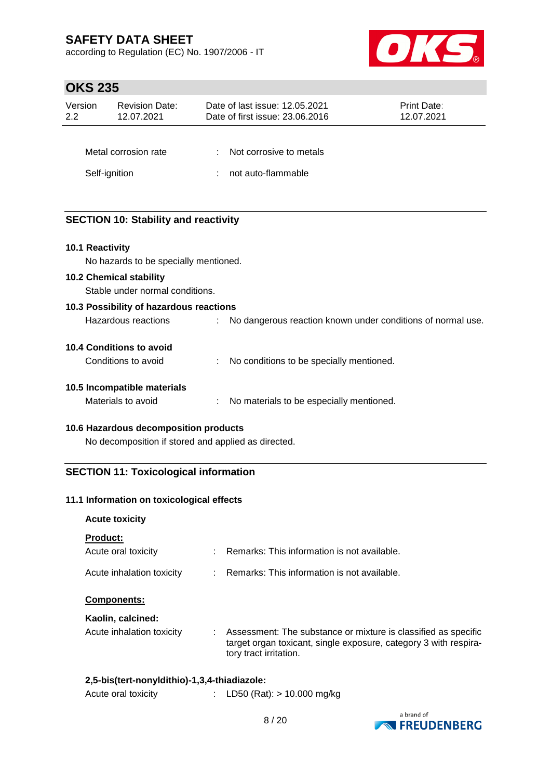according to Regulation (EC) No. 1907/2006 - IT



## **OKS 235**

| Version<br>2.2     | <b>Revision Date:</b><br>12.07.2021         | Date of last issue: 12.05.2021<br>Date of first issue: 23.06.2016 | Print Date:<br>12.07.2021 |
|--------------------|---------------------------------------------|-------------------------------------------------------------------|---------------------------|
|                    | Metal corrosion rate<br>Self-ignition       | Not corrosive to metals<br>÷<br>not auto-flammable                |                           |
| $40.4$ $D - -11.1$ | <b>SECTION 10: Stability and reactivity</b> |                                                                   |                           |

**10.1 Reactivity**

No hazards to be specially mentioned.

### **10.2 Chemical stability**

Stable under normal conditions.

#### **10.3 Possibility of hazardous reactions**

| Hazardous reactions |  | No dangerous reaction known under conditions of normal use. |
|---------------------|--|-------------------------------------------------------------|
|---------------------|--|-------------------------------------------------------------|

### **10.4 Conditions to avoid**

| Conditions to avoid |  | No conditions to be specially mentioned. |
|---------------------|--|------------------------------------------|
|---------------------|--|------------------------------------------|

### **10.5 Incompatible materials**

Materials to avoid : No materials to be especially mentioned.

### **10.6 Hazardous decomposition products**

No decomposition if stored and applied as directed.

### **SECTION 11: Toxicological information**

### **11.1 Information on toxicological effects**

# **Acute toxicity Product:** Acute oral toxicity : Remarks: This information is not available. Acute inhalation toxicity : Remarks: This information is not available. **Components: Kaolin, calcined:** Acute inhalation toxicity : Assessment: The substance or mixture is classified as specific target organ toxicant, single exposure, category 3 with respiratory tract irritation. **2,5-bis(tert-nonyldithio)-1,3,4-thiadiazole:**

| Acute oral toxicity |                            |  |
|---------------------|----------------------------|--|
|                     | LD50 (Rat): > 10.000 mg/kg |  |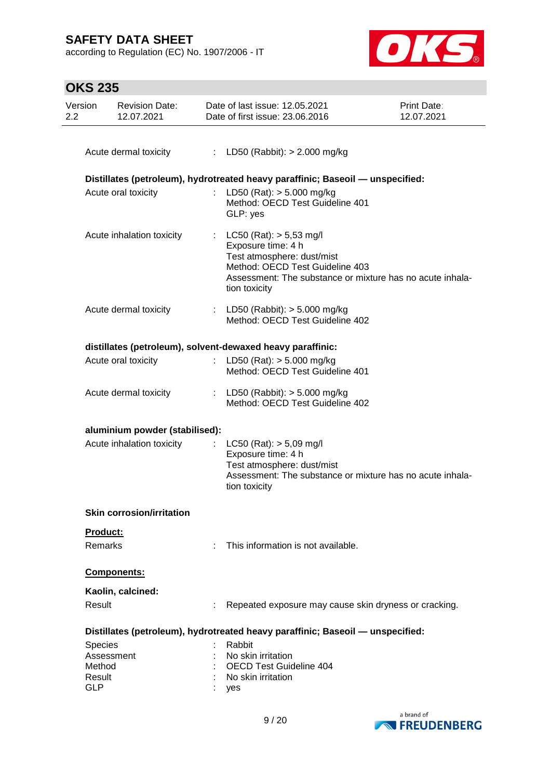according to Regulation (EC) No. 1907/2006 - IT



| <b>OKS 235</b> |  |
|----------------|--|
|----------------|--|

| Version<br>2.2 | <b>Revision Date:</b><br>12.07.2021 |                           | Date of last issue: 12.05.2021<br>Date of first issue: 23,06,2016                                                                                                                                | Print Date:<br>12.07.2021 |  |
|----------------|-------------------------------------|---------------------------|--------------------------------------------------------------------------------------------------------------------------------------------------------------------------------------------------|---------------------------|--|
|                |                                     |                           |                                                                                                                                                                                                  |                           |  |
|                | Acute dermal toxicity               |                           | : LD50 (Rabbit): $> 2.000$ mg/kg                                                                                                                                                                 |                           |  |
|                |                                     |                           | Distillates (petroleum), hydrotreated heavy paraffinic; Baseoil — unspecified:                                                                                                                   |                           |  |
|                | Acute oral toxicity                 |                           | LD50 (Rat): $> 5.000$ mg/kg<br>Method: OECD Test Guideline 401<br>GLP: yes                                                                                                                       |                           |  |
|                | Acute inhalation toxicity           | $\mathbb{R}^{\mathbb{Z}}$ | $LC50$ (Rat): $> 5,53$ mg/l<br>Exposure time: 4 h<br>Test atmosphere: dust/mist<br>Method: OECD Test Guideline 403<br>Assessment: The substance or mixture has no acute inhala-<br>tion toxicity |                           |  |
|                | Acute dermal toxicity               |                           | : LD50 (Rabbit): $> 5.000$ mg/kg<br>Method: OECD Test Guideline 402                                                                                                                              |                           |  |
|                |                                     |                           | distillates (petroleum), solvent-dewaxed heavy paraffinic:                                                                                                                                       |                           |  |
|                | Acute oral toxicity                 |                           | LD50 (Rat): $> 5.000$ mg/kg<br>Method: OECD Test Guideline 401                                                                                                                                   |                           |  |
|                | Acute dermal toxicity               |                           | : LD50 (Rabbit): $> 5.000$ mg/kg<br>Method: OECD Test Guideline 402                                                                                                                              |                           |  |
|                | aluminium powder (stabilised):      |                           |                                                                                                                                                                                                  |                           |  |
|                | Acute inhalation toxicity           |                           | $LC50$ (Rat): $> 5,09$ mg/l<br>Exposure time: 4 h<br>Test atmosphere: dust/mist<br>Assessment: The substance or mixture has no acute inhala-<br>tion toxicity                                    |                           |  |
|                | <b>Skin corrosion/irritation</b>    |                           |                                                                                                                                                                                                  |                           |  |
|                | Product:                            |                           |                                                                                                                                                                                                  |                           |  |
|                | Remarks                             | t                         | This information is not available.                                                                                                                                                               |                           |  |
|                | Components:                         |                           |                                                                                                                                                                                                  |                           |  |
|                | Kaolin, calcined:                   |                           |                                                                                                                                                                                                  |                           |  |
|                | Result                              |                           | Repeated exposure may cause skin dryness or cracking.                                                                                                                                            |                           |  |
|                |                                     |                           | Distillates (petroleum), hydrotreated heavy paraffinic; Baseoil - unspecified:                                                                                                                   |                           |  |
|                | Species                             |                           | Rabbit                                                                                                                                                                                           |                           |  |
|                | Assessment                          |                           | No skin irritation                                                                                                                                                                               |                           |  |
|                | Method<br>Result                    |                           | <b>OECD Test Guideline 404</b>                                                                                                                                                                   |                           |  |
| <b>GLP</b>     |                                     |                           | No skin irritation<br>yes                                                                                                                                                                        |                           |  |

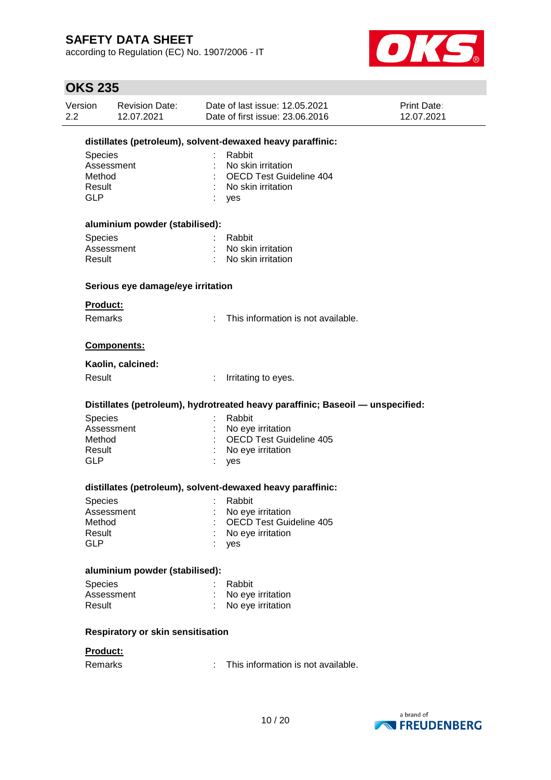according to Regulation (EC) No. 1907/2006 - IT



| Version<br>2.2 | <b>Revision Date:</b><br>12.07.2021                        | Date of last issue: 12.05.2021<br>Date of first issue: 23.06.2016                           | <b>Print Date:</b><br>12.07.2021 |  |  |  |  |  |
|----------------|------------------------------------------------------------|---------------------------------------------------------------------------------------------|----------------------------------|--|--|--|--|--|
|                | distillates (petroleum), solvent-dewaxed heavy paraffinic: |                                                                                             |                                  |  |  |  |  |  |
| <b>GLP</b>     | <b>Species</b><br>Assessment<br>Method<br>Result           | Rabbit<br>No skin irritation<br><b>OECD Test Guideline 404</b><br>No skin irritation<br>yes |                                  |  |  |  |  |  |
|                | aluminium powder (stabilised):                             |                                                                                             |                                  |  |  |  |  |  |
|                | <b>Species</b><br>Assessment<br>Result                     | Rabbit<br>No skin irritation<br>No skin irritation                                          |                                  |  |  |  |  |  |
|                | Serious eye damage/eye irritation                          |                                                                                             |                                  |  |  |  |  |  |
|                | Product:                                                   |                                                                                             |                                  |  |  |  |  |  |
|                | <b>Remarks</b>                                             | This information is not available.                                                          |                                  |  |  |  |  |  |
|                | Components:                                                |                                                                                             |                                  |  |  |  |  |  |
|                | Kaolin, calcined:                                          |                                                                                             |                                  |  |  |  |  |  |
|                | Result                                                     | ÷<br>Irritating to eyes.                                                                    |                                  |  |  |  |  |  |
|                |                                                            | Distillates (petroleum), hydrotreated heavy paraffinic; Baseoil — unspecified:              |                                  |  |  |  |  |  |
| <b>GLP</b>     | <b>Species</b><br>Assessment<br>Method<br>Result           | Rabbit<br>No eye irritation<br><b>OECD Test Guideline 405</b><br>No eye irritation<br>yes   |                                  |  |  |  |  |  |
|                |                                                            | distillates (petroleum), solvent-dewaxed heavy paraffinic:                                  |                                  |  |  |  |  |  |
| <b>GLP</b>     | Species<br>Assessment<br>Method<br>Result                  | Rabbit<br>No eye irritation<br><b>OECD Test Guideline 405</b><br>No eye irritation<br>yes   |                                  |  |  |  |  |  |
|                | aluminium powder (stabilised):                             |                                                                                             |                                  |  |  |  |  |  |
|                | Species<br>Assessment<br>Result                            | Rabbit<br>No eye irritation<br>No eye irritation                                            |                                  |  |  |  |  |  |
|                | Respiratory or skin sensitisation                          |                                                                                             |                                  |  |  |  |  |  |
|                | Product:                                                   |                                                                                             |                                  |  |  |  |  |  |
|                | Remarks                                                    | This information is not available.                                                          |                                  |  |  |  |  |  |
|                |                                                            |                                                                                             |                                  |  |  |  |  |  |

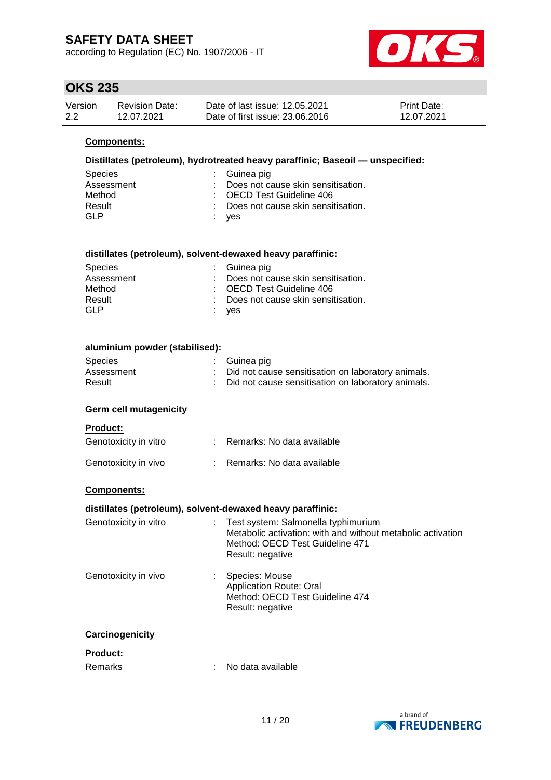according to Regulation (EC) No. 1907/2006 - IT



## **OKS 235**

| Version | <b>Revision Date:</b> | Date of last issue: 12.05.2021  | <b>Print Date:</b> |
|---------|-----------------------|---------------------------------|--------------------|
| 2.2     | 12.07.2021            | Date of first issue: 23,06,2016 | 12.07.2021         |

### **Components:**

### **Distillates (petroleum), hydrotreated heavy paraffinic; Baseoil — unspecified:**

| Species    | $\therefore$ Guinea pig              |
|------------|--------------------------------------|
| Assessment | : Does not cause skin sensitisation. |
| Method     | : OECD Test Guideline 406            |
| Result     | : Does not cause skin sensitisation. |
| GI P       | : yes                                |

#### **distillates (petroleum), solvent-dewaxed heavy paraffinic:**

| <b>Species</b> | $\therefore$ Guinea pig              |
|----------------|--------------------------------------|
| Assessment     | : Does not cause skin sensitisation. |
| Method         | : OECD Test Guideline 406            |
| Result         | : Does not cause skin sensitisation. |
| GLP            | : yes                                |

| aluminium powder (stabilised): |  |                                                      |  |  |  |
|--------------------------------|--|------------------------------------------------------|--|--|--|
| Species                        |  | : Guinea pig                                         |  |  |  |
| Assessment                     |  | : Did not cause sensitisation on laboratory animals. |  |  |  |
| Result                         |  | : Did not cause sensitisation on laboratory animals. |  |  |  |

#### **Germ cell mutagenicity**

| <b>Product:</b>       |                            |
|-----------------------|----------------------------|
| Genotoxicity in vitro | Remarks: No data available |
| Genotoxicity in vivo  | Remarks: No data available |

### **Components:**

#### **distillates (petroleum), solvent-dewaxed heavy paraffinic:**

| Test system: Salmonella typhimurium<br>Metabolic activation: with and without metabolic activation<br>Method: OECD Test Guideline 471<br>Result: negative |
|-----------------------------------------------------------------------------------------------------------------------------------------------------------|
| Species: Mouse<br><b>Application Route: Oral</b><br>Method: OECD Test Guideline 474<br>Result: negative                                                   |
|                                                                                                                                                           |
| No data available                                                                                                                                         |
|                                                                                                                                                           |

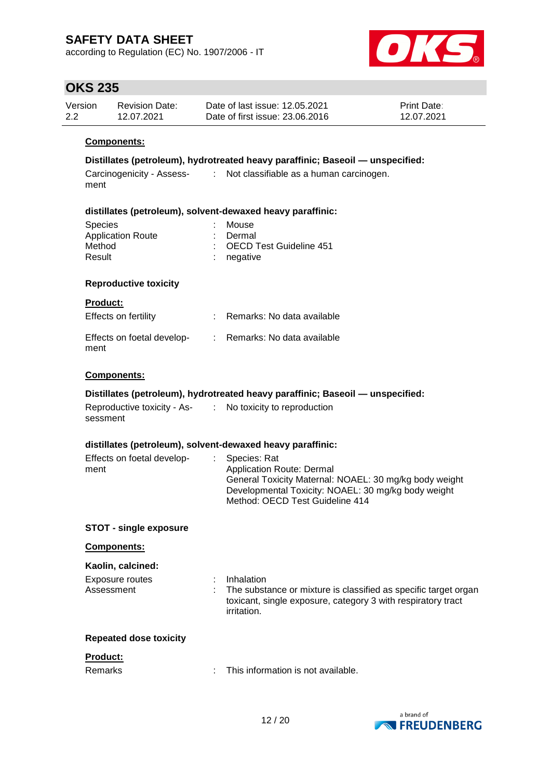according to Regulation (EC) No. 1907/2006 - IT



### **OKS 235**

| Version | <b>Revision Date:</b> | Date of last issue: 12.05.2021  | <b>Print Date:</b> |
|---------|-----------------------|---------------------------------|--------------------|
| 2.2     | 12.07.2021            | Date of first issue: 23,06,2016 | 12.07.2021         |

### **Components:**

### **Distillates (petroleum), hydrotreated heavy paraffinic; Baseoil — unspecified:**

Carcinogenicity - Assess-: Not classifiable as a human carcinogen. ment

#### **distillates (petroleum), solvent-dewaxed heavy paraffinic:**

| <b>Species</b>           | : Mouse                   |  |
|--------------------------|---------------------------|--|
| <b>Application Route</b> | : Dermal                  |  |
| Method                   | : OECD Test Guideline 451 |  |
| Result                   | $:$ negative              |  |
|                          |                           |  |

### **Reproductive toxicity**

#### **Product:**

| Effects on fertility               | Remarks: No data available |
|------------------------------------|----------------------------|
| Effects on foetal develop-<br>ment | Remarks: No data available |

### **Components:**

### **Distillates (petroleum), hydrotreated heavy paraffinic; Baseoil — unspecified:**

| Reproductive toxicity - As- | No toxicity |
|-----------------------------|-------------|
| sessment                    |             |

### **distillates (petroleum), solvent-dewaxed heavy paraffinic:**

| Effects on foetal develop- | : Species: Rat                                         |
|----------------------------|--------------------------------------------------------|
| ment                       | Application Route: Dermal                              |
|                            | General Toxicity Maternal: NOAEL: 30 mg/kg body weight |
|                            | Developmental Toxicity: NOAEL: 30 mg/kg body weight    |
|                            | Method: OECD Test Guideline 414                        |

to reproduction

#### **STOT - single exposure**

#### **Components:**

#### **Kaolin, calcined:**

| Exposure routes | Inhalation                                                                                                                                              |
|-----------------|---------------------------------------------------------------------------------------------------------------------------------------------------------|
| Assessment      | : The substance or mixture is classified as specific target organ<br>toxicant, single exposure, category 3 with respiratory tract<br><i>irritation.</i> |
|                 |                                                                                                                                                         |

#### **Repeated dose toxicity**

#### **Product:**

| Remarks | This information is not available. |
|---------|------------------------------------|
|---------|------------------------------------|

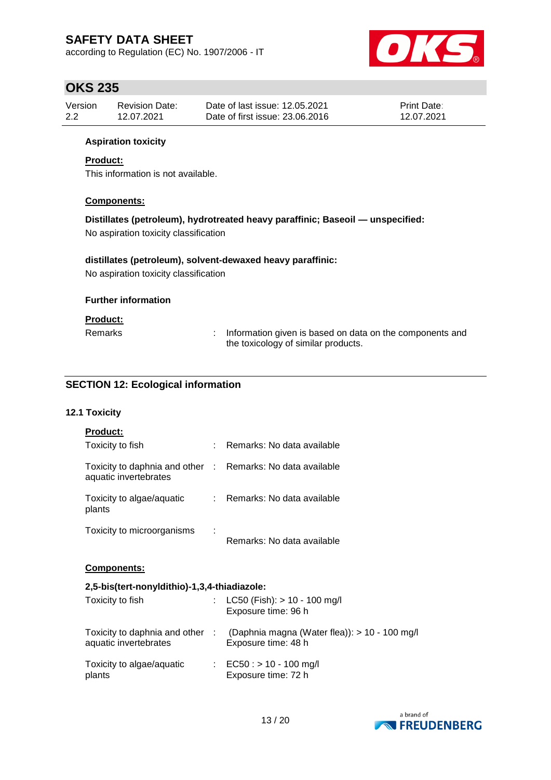according to Regulation (EC) No. 1907/2006 - IT



### **OKS 235**

| Version | <b>Revision Date:</b> | Date of last issue: 12.05.2021  | <b>Print Date:</b> |
|---------|-----------------------|---------------------------------|--------------------|
| 2.2     | 12.07.2021            | Date of first issue: 23,06,2016 | 12.07.2021         |

### **Aspiration toxicity**

### **Product:**

This information is not available.

### **Components:**

# **Distillates (petroleum), hydrotreated heavy paraffinic; Baseoil — unspecified:**

No aspiration toxicity classification

### **distillates (petroleum), solvent-dewaxed heavy paraffinic:**

No aspiration toxicity classification

### **Further information**

#### **Product:**

| <b>Remarks</b> | Information given is based on data on the components and |
|----------------|----------------------------------------------------------|
|                | the toxicology of similar products.                      |

### **SECTION 12: Ecological information**

### **12.1 Toxicity**

| <b>Product:</b>                                                                     |                                                                      |
|-------------------------------------------------------------------------------------|----------------------------------------------------------------------|
| Toxicity to fish                                                                    | Remarks: No data available                                           |
| Toxicity to daphnia and other : Remarks: No data available<br>aquatic invertebrates |                                                                      |
| Toxicity to algae/aquatic<br>plants                                                 | : Remarks: No data available                                         |
| Toxicity to microorganisms                                                          | Remarks: No data available                                           |
| <b>Components:</b>                                                                  |                                                                      |
| 2,5-bis(tert-nonyldithio)-1,3,4-thiadiazole:                                        |                                                                      |
| Toxicity to fish                                                                    | $LC50$ (Fish): $> 10 - 100$ mg/l<br>Exposure time: 96 h              |
| Toxicity to daphnia and other :<br>aquatic invertebrates                            | (Daphnia magna (Water flea)): > 10 - 100 mg/l<br>Exposure time: 48 h |
| Toxicity to algae/aquatic                                                           | : EC50 : $> 10 - 100$ mg/l                                           |

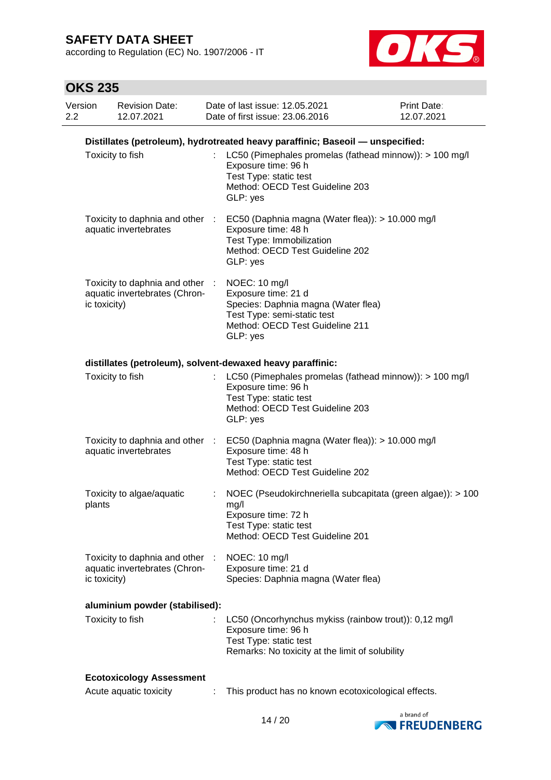according to Regulation (EC) No. 1907/2006 - IT



| Version<br>2.2 |              | <b>Revision Date:</b><br>12.07.2021                            |   | Date of last issue: 12.05.2021<br>Date of first issue: 23,06,2016                                                                                         | Print Date:<br>12.07.2021 |
|----------------|--------------|----------------------------------------------------------------|---|-----------------------------------------------------------------------------------------------------------------------------------------------------------|---------------------------|
|                |              |                                                                |   | Distillates (petroleum), hydrotreated heavy paraffinic; Baseoil - unspecified:                                                                            |                           |
|                |              | Toxicity to fish                                               |   | LC50 (Pimephales promelas (fathead minnow)): > 100 mg/l<br>Exposure time: 96 h<br>Test Type: static test<br>Method: OECD Test Guideline 203<br>GLP: yes   |                           |
|                |              | Toxicity to daphnia and other :<br>aquatic invertebrates       |   | EC50 (Daphnia magna (Water flea)): > 10.000 mg/l<br>Exposure time: 48 h<br>Test Type: Immobilization<br>Method: OECD Test Guideline 202<br>GLP: yes       |                           |
|                | ic toxicity) | Toxicity to daphnia and other<br>aquatic invertebrates (Chron- |   | NOEC: 10 mg/l<br>Exposure time: 21 d<br>Species: Daphnia magna (Water flea)<br>Test Type: semi-static test<br>Method: OECD Test Guideline 211<br>GLP: yes |                           |
|                |              |                                                                |   | distillates (petroleum), solvent-dewaxed heavy paraffinic:                                                                                                |                           |
|                |              | Toxicity to fish                                               |   | LC50 (Pimephales promelas (fathead minnow)): > 100 mg/l<br>Exposure time: 96 h<br>Test Type: static test<br>Method: OECD Test Guideline 203<br>GLP: yes   |                           |
|                |              | Toxicity to daphnia and other :<br>aquatic invertebrates       |   | EC50 (Daphnia magna (Water flea)): > 10.000 mg/l<br>Exposure time: 48 h<br>Test Type: static test<br>Method: OECD Test Guideline 202                      |                           |
|                | plants       | Toxicity to algae/aquatic                                      |   | NOEC (Pseudokirchneriella subcapitata (green algae)): > 100<br>mg/l<br>Exposure time: 72 h<br>Test Type: static test<br>Method: OECD Test Guideline 201   |                           |
|                | ic toxicity) | Toxicity to daphnia and other<br>aquatic invertebrates (Chron- | ÷ | NOEC: 10 mg/l<br>Exposure time: 21 d<br>Species: Daphnia magna (Water flea)                                                                               |                           |
|                |              | aluminium powder (stabilised):                                 |   |                                                                                                                                                           |                           |
|                |              | Toxicity to fish                                               |   | LC50 (Oncorhynchus mykiss (rainbow trout)): 0,12 mg/l<br>Exposure time: 96 h<br>Test Type: static test<br>Remarks: No toxicity at the limit of solubility |                           |
|                |              | <b>Ecotoxicology Assessment</b>                                |   |                                                                                                                                                           |                           |
|                |              | Acute aquatic toxicity                                         |   | This product has no known ecotoxicological effects.                                                                                                       |                           |

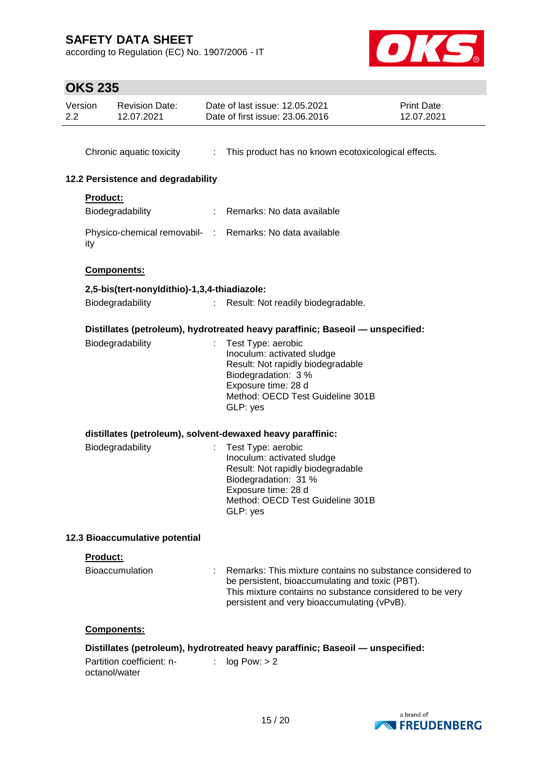according to Regulation (EC) No. 1907/2006 - IT



| Version<br>2.2 |                 | <b>Revision Date:</b><br>12.07.2021          |                             | Date of last issue: 12.05.2021<br>Date of first issue: 23.06.2016                                                                                                                                                         | Print Date:<br>12.07.2021 |
|----------------|-----------------|----------------------------------------------|-----------------------------|---------------------------------------------------------------------------------------------------------------------------------------------------------------------------------------------------------------------------|---------------------------|
|                |                 | Chronic aquatic toxicity                     |                             | : This product has no known ecotoxicological effects.                                                                                                                                                                     |                           |
|                |                 | 12.2 Persistence and degradability           |                             |                                                                                                                                                                                                                           |                           |
|                | <b>Product:</b> | Biodegradability                             |                             | : Remarks: No data available                                                                                                                                                                                              |                           |
|                | ity             |                                              |                             | Physico-chemical removabil- : Remarks: No data available                                                                                                                                                                  |                           |
|                |                 | Components:                                  |                             |                                                                                                                                                                                                                           |                           |
|                |                 | 2,5-bis(tert-nonyldithio)-1,3,4-thiadiazole: |                             |                                                                                                                                                                                                                           |                           |
|                |                 | Biodegradability                             | $\mathcal{L}^{\mathcal{L}}$ | Result: Not readily biodegradable.                                                                                                                                                                                        |                           |
|                |                 |                                              |                             | Distillates (petroleum), hydrotreated heavy paraffinic; Baseoil - unspecified:                                                                                                                                            |                           |
|                |                 | Biodegradability                             |                             | Test Type: aerobic<br>Inoculum: activated sludge<br>Result: Not rapidly biodegradable<br>Biodegradation: 3 %<br>Exposure time: 28 d<br>Method: OECD Test Guideline 301B<br>GLP: yes                                       |                           |
|                |                 |                                              |                             | distillates (petroleum), solvent-dewaxed heavy paraffinic:                                                                                                                                                                |                           |
|                |                 | Biodegradability                             |                             | Test Type: aerobic<br>Inoculum: activated sludge<br>Result: Not rapidly biodegradable<br>Biodegradation: 31 %<br>Exposure time: 28 d<br>Method: OECD Test Guideline 301B<br>GLP: yes                                      |                           |
|                |                 | 12.3 Bioaccumulative potential               |                             |                                                                                                                                                                                                                           |                           |
|                | Product:        |                                              |                             |                                                                                                                                                                                                                           |                           |
|                |                 | Bioaccumulation                              |                             | : Remarks: This mixture contains no substance considered to<br>be persistent, bioaccumulating and toxic (PBT).<br>This mixture contains no substance considered to be very<br>persistent and very bioaccumulating (vPvB). |                           |
|                |                 | Components:                                  |                             |                                                                                                                                                                                                                           |                           |
|                | octanol/water   | Partition coefficient: n-                    | t.                          | Distillates (petroleum), hydrotreated heavy paraffinic; Baseoil - unspecified:<br>log Pow: > 2                                                                                                                            |                           |

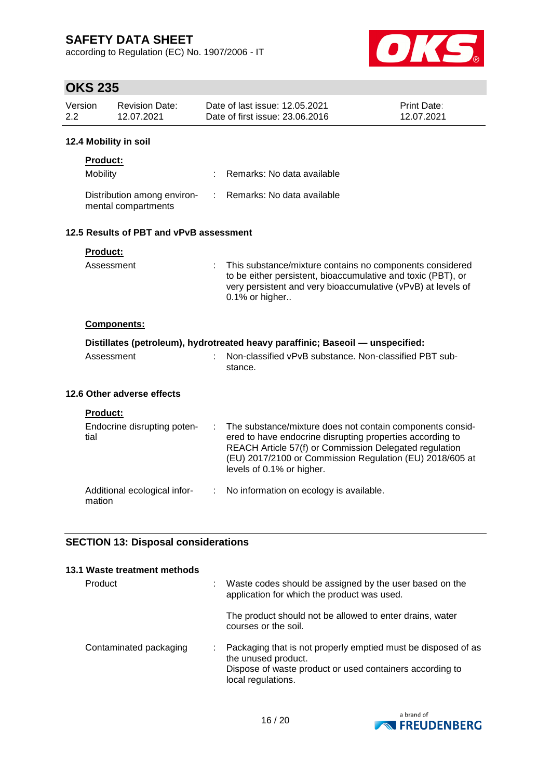according to Regulation (EC) No. 1907/2006 - IT



| טנג באו                     |                                                    |   |                                                                                                                                                                                                                                                                           |                           |
|-----------------------------|----------------------------------------------------|---|---------------------------------------------------------------------------------------------------------------------------------------------------------------------------------------------------------------------------------------------------------------------------|---------------------------|
| Version<br>$2.2\phantom{0}$ | <b>Revision Date:</b><br>12.07.2021                |   | Date of last issue: 12.05.2021<br>Date of first issue: 23.06.2016                                                                                                                                                                                                         | Print Date:<br>12.07.2021 |
| 12.4 Mobility in soil       |                                                    |   |                                                                                                                                                                                                                                                                           |                           |
| Product:                    |                                                    |   |                                                                                                                                                                                                                                                                           |                           |
| Mobility                    |                                                    |   | Remarks: No data available                                                                                                                                                                                                                                                |                           |
|                             | Distribution among environ-<br>mental compartments | ÷ | Remarks: No data available                                                                                                                                                                                                                                                |                           |
|                             | 12.5 Results of PBT and vPvB assessment            |   |                                                                                                                                                                                                                                                                           |                           |
| Product:                    |                                                    |   |                                                                                                                                                                                                                                                                           |                           |
|                             | Assessment                                         |   | This substance/mixture contains no components considered<br>to be either persistent, bioaccumulative and toxic (PBT), or<br>very persistent and very bioaccumulative (vPvB) at levels of<br>0.1% or higher                                                                |                           |
|                             | Components:                                        |   |                                                                                                                                                                                                                                                                           |                           |
|                             |                                                    |   | Distillates (petroleum), hydrotreated heavy paraffinic; Baseoil — unspecified:                                                                                                                                                                                            |                           |
|                             | Assessment                                         |   | Non-classified vPvB substance. Non-classified PBT sub-<br>stance.                                                                                                                                                                                                         |                           |
|                             | 12.6 Other adverse effects                         |   |                                                                                                                                                                                                                                                                           |                           |
| Product:                    |                                                    |   |                                                                                                                                                                                                                                                                           |                           |
| tial                        | Endocrine disrupting poten-                        |   | The substance/mixture does not contain components consid-<br>ered to have endocrine disrupting properties according to<br>REACH Article 57(f) or Commission Delegated regulation<br>(EU) 2017/2100 or Commission Regulation (EU) 2018/605 at<br>levels of 0.1% or higher. |                           |
| mation                      | Additional ecological infor-                       | ÷ | No information on ecology is available.                                                                                                                                                                                                                                   |                           |
|                             | <b>SECTION 13: Disposal considerations</b>         |   |                                                                                                                                                                                                                                                                           |                           |
| Product                     | 13.1 Waste treatment methods                       |   | Waste codes should be assigned by the user based on the<br>application for which the product was used.                                                                                                                                                                    |                           |

|                        | The product should not be allowed to enter drains, water<br>courses or the soil.                                                                                       |
|------------------------|------------------------------------------------------------------------------------------------------------------------------------------------------------------------|
| Contaminated packaging | Packaging that is not properly emptied must be disposed of as<br>the unused product.<br>Dispose of waste product or used containers according to<br>local regulations. |

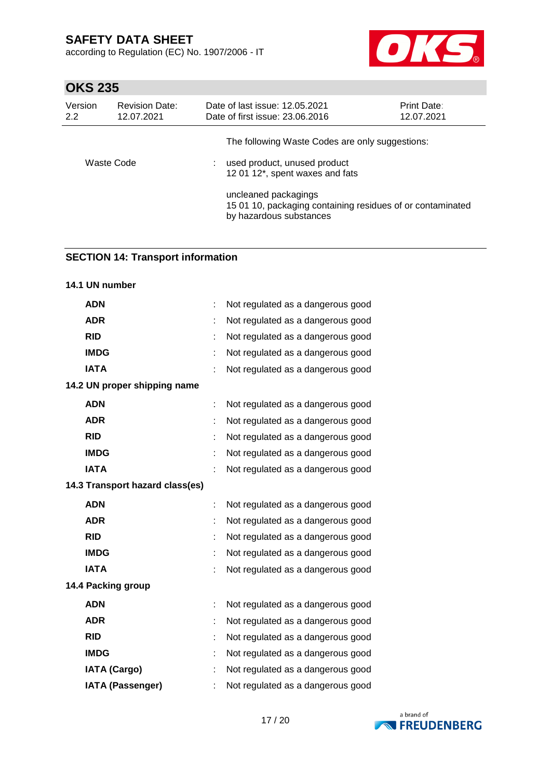according to Regulation (EC) No. 1907/2006 - IT



### **OKS 235**

| Version<br>2.2 | <b>Revision Date:</b><br>12.07.2021 | Date of last issue: 12.05.2021<br>Date of first issue: 23.06.2016                                             | <b>Print Date:</b><br>12.07.2021 |
|----------------|-------------------------------------|---------------------------------------------------------------------------------------------------------------|----------------------------------|
|                |                                     | The following Waste Codes are only suggestions:                                                               |                                  |
| Waste Code     |                                     | used product, unused product<br>12 01 12*, spent waxes and fats                                               |                                  |
|                |                                     | uncleaned packagings<br>15 01 10, packaging containing residues of or contaminated<br>by hazardous substances |                                  |

### **SECTION 14: Transport information**

# **14.1 UN number ADN** : Not regulated as a dangerous good **ADR** : Not regulated as a dangerous good **RID** : Not regulated as a dangerous good **IMDG** : Not regulated as a dangerous good **IATA** : Not regulated as a dangerous good **14.2 UN proper shipping name ADN** : Not regulated as a dangerous good **ADR** : Not regulated as a dangerous good **RID** : Not regulated as a dangerous good **IMDG** : Not regulated as a dangerous good **IATA** : Not regulated as a dangerous good **14.3 Transport hazard class(es) ADN** : Not regulated as a dangerous good **ADR** : Not regulated as a dangerous good **RID** : Not regulated as a dangerous good **IMDG** : Not regulated as a dangerous good **IATA** : Not regulated as a dangerous good **14.4 Packing group ADN** : Not regulated as a dangerous good **ADR** : Not regulated as a dangerous good **RID** : Not regulated as a dangerous good **IMDG** : Not regulated as a dangerous good **IATA (Cargo)** : Not regulated as a dangerous good **IATA (Passenger)** : Not regulated as a dangerous good

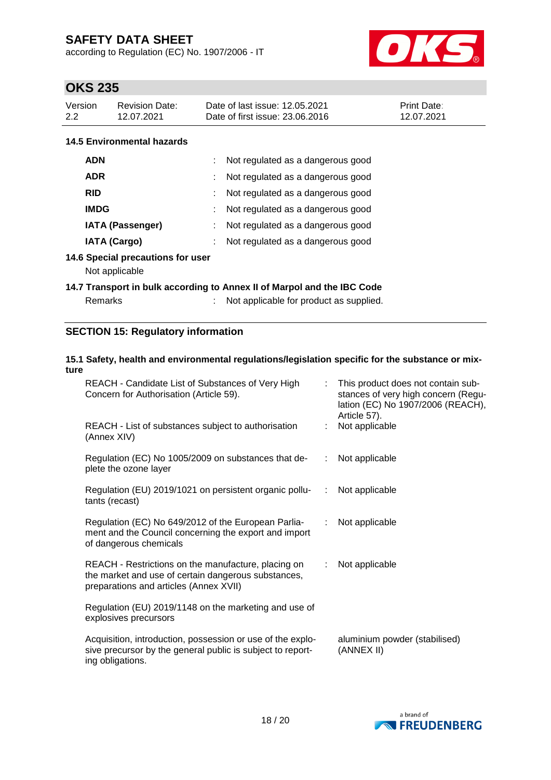according to Regulation (EC) No. 1907/2006 - IT



### **OKS 235**

| Version | <b>Revision Date:</b> | Date of last issue: 12.05.2021  | <b>Print Date:</b> |
|---------|-----------------------|---------------------------------|--------------------|
| 2.2     | 12.07.2021            | Date of first issue: 23,06,2016 | 12.07.2021         |

### **14.5 Environmental hazards**

| <b>ADN</b>              | : Not regulated as a dangerous good |  |
|-------------------------|-------------------------------------|--|
| <b>ADR</b>              | Not regulated as a dangerous good   |  |
| <b>RID</b>              | Not regulated as a dangerous good   |  |
| <b>IMDG</b>             | Not regulated as a dangerous good   |  |
| <b>IATA (Passenger)</b> | Not regulated as a dangerous good   |  |
| <b>IATA (Cargo)</b>     | Not regulated as a dangerous good   |  |

#### **14.6 Special precautions for user**

Not applicable

### **14.7 Transport in bulk according to Annex II of Marpol and the IBC Code**

| Remarks |  |  |
|---------|--|--|
|         |  |  |

: Not applicable for product as supplied.

### **SECTION 15: Regulatory information**

# **15.1 Safety, health and environmental regulations/legislation specific for the substance or mixture**

| REACH - Candidate List of Substances of Very High<br>Concern for Authorisation (Article 59).                                                         |    | : This product does not contain sub-<br>stances of very high concern (Regu-<br>lation (EC) No 1907/2006 (REACH),<br>Article 57). |
|------------------------------------------------------------------------------------------------------------------------------------------------------|----|----------------------------------------------------------------------------------------------------------------------------------|
| REACH - List of substances subject to authorisation<br>(Annex XIV)                                                                                   | ÷. | Not applicable                                                                                                                   |
| Regulation (EC) No 1005/2009 on substances that de-<br>plete the ozone layer                                                                         | ÷. | Not applicable                                                                                                                   |
| Regulation (EU) 2019/1021 on persistent organic pollu-<br>tants (recast)                                                                             | ÷  | Not applicable                                                                                                                   |
| Regulation (EC) No 649/2012 of the European Parlia-<br>ment and the Council concerning the export and import<br>of dangerous chemicals               |    | Not applicable                                                                                                                   |
| REACH - Restrictions on the manufacture, placing on<br>the market and use of certain dangerous substances,<br>preparations and articles (Annex XVII) | ÷. | Not applicable                                                                                                                   |
| Regulation (EU) 2019/1148 on the marketing and use of<br>explosives precursors                                                                       |    |                                                                                                                                  |
| Acquisition, introduction, possession or use of the explo-<br>sive precursor by the general public is subject to report-<br>ing obligations.         |    | aluminium powder (stabilised)<br>(ANNEX II)                                                                                      |

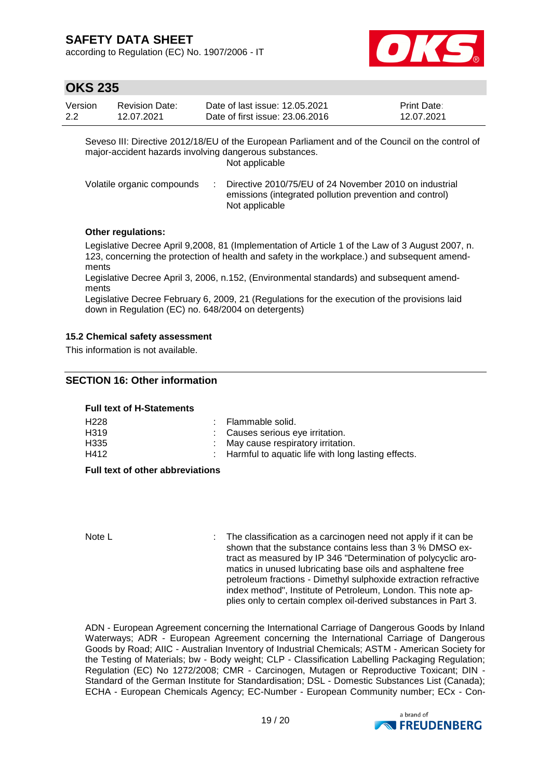according to Regulation (EC) No. 1907/2006 - IT



### **OKS 235**

| Version | Revision Date: | Date of last issue: 12.05.2021  | <b>Print Date:</b> |
|---------|----------------|---------------------------------|--------------------|
| 2.2     | 12.07.2021     | Date of first issue: 23,06,2016 | 12.07.2021         |

Seveso III: Directive 2012/18/EU of the European Parliament and of the Council on the control of major-accident hazards involving dangerous substances.

Not applicable

| Volatile organic compounds | Directive 2010/75/EU of 24 November 2010 on industrial  |
|----------------------------|---------------------------------------------------------|
|                            | emissions (integrated pollution prevention and control) |
|                            | Not applicable                                          |

### **Other regulations:**

Legislative Decree April 9,2008, 81 (Implementation of Article 1 of the Law of 3 August 2007, n. 123, concerning the protection of health and safety in the workplace.) and subsequent amendments

Legislative Decree April 3, 2006, n.152, (Environmental standards) and subsequent amendments

Legislative Decree February 6, 2009, 21 (Regulations for the execution of the provisions laid down in Regulation (EC) no. 648/2004 on detergents)

### **15.2 Chemical safety assessment**

This information is not available.

### **SECTION 16: Other information**

#### **Full text of H-Statements**

| H <sub>228</sub> | : Flammable solid.                                   |
|------------------|------------------------------------------------------|
| H <sub>319</sub> | : Causes serious eye irritation.                     |
| H335             | : May cause respiratory irritation.                  |
| H412             | : Harmful to aquatic life with long lasting effects. |

#### **Full text of other abbreviations**

Note L **interpretent in the classification as a carcinogen need not apply if it can be** shown that the substance contains less than 3 % DMSO extract as measured by IP 346 "Determination of polycyclic aromatics in unused lubricating base oils and asphaltene free petroleum fractions - Dimethyl sulphoxide extraction refractive index method", Institute of Petroleum, London. This note applies only to certain complex oil-derived substances in Part 3.

ADN - European Agreement concerning the International Carriage of Dangerous Goods by Inland Waterways; ADR - European Agreement concerning the International Carriage of Dangerous Goods by Road; AIIC - Australian Inventory of Industrial Chemicals; ASTM - American Society for the Testing of Materials; bw - Body weight; CLP - Classification Labelling Packaging Regulation; Regulation (EC) No 1272/2008; CMR - Carcinogen, Mutagen or Reproductive Toxicant; DIN - Standard of the German Institute for Standardisation; DSL - Domestic Substances List (Canada); ECHA - European Chemicals Agency; EC-Number - European Community number; ECx - Con-